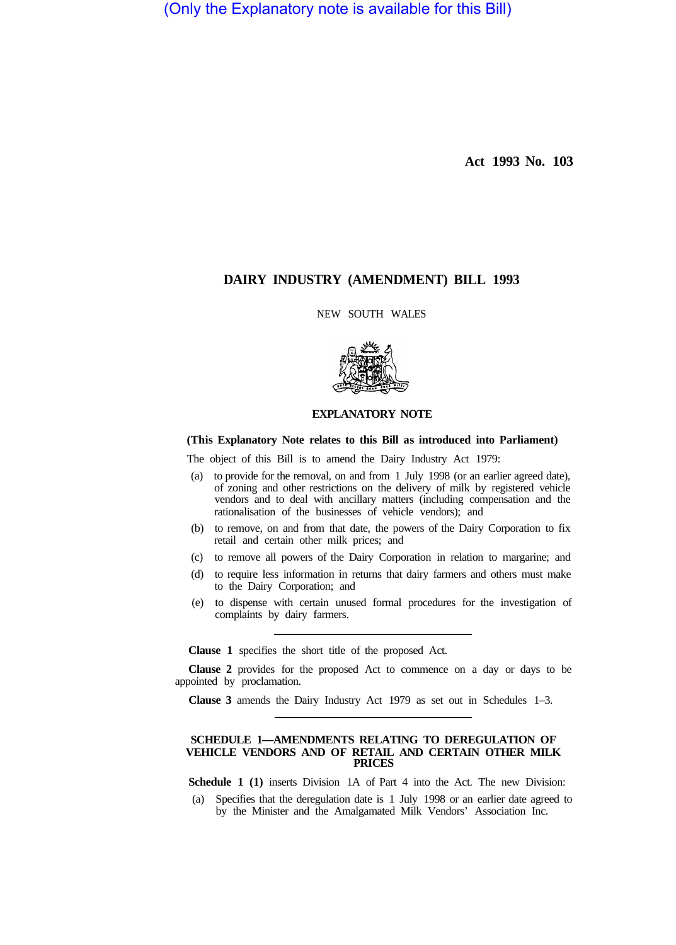(Only the Explanatory note is available for this Bill)

**Act 1993 No. 103** 

# **DAIRY INDUSTRY (AMENDMENT) BILL 1993**

NEW SOUTH WALES



## **EXPLANATORY NOTE**

## **(This Explanatory Note relates to this Bill as introduced into Parliament)**

The object of this Bill is to amend the Dairy Industry Act 1979:

- (a) to provide for the removal, on and from 1 July 1998 (or an earlier agreed date), of zoning and other restrictions on the delivery of milk by registered vehicle vendors and to deal with ancillary matters (including compensation and the rationalisation of the businesses of vehicle vendors); and
- (b) to remove, on and from that date, the powers of the Dairy Corporation to fix retail and certain other milk prices; and
- (c) to remove all powers of the Dairy Corporation in relation to margarine; and
- (d) to require less information in returns that dairy farmers and others must make to the Dairy Corporation; and
- (e) to dispense with certain unused formal procedures for the investigation of complaints by dairy farmers.

**Clause 1** specifies the short title of the proposed Act.

**Clause 2** provides for the proposed Act to commence on a day or days to be appointed by proclamation.

**Clause 3** amends the Dairy Industry Act 1979 as set out in Schedules 1–3.

#### **SCHEDULE 1—AMENDMENTS RELATING TO DEREGULATION OF VEHICLE VENDORS AND OF RETAIL AND CERTAIN OTHER MILK PRICES**

**Schedule 1 (1)** inserts Division 1A of Part 4 into the Act. The new Division:

(a) Specifies that the deregulation date is 1 July 1998 or an earlier date agreed to by the Minister and the Amalgamated Milk Vendors' Association Inc.